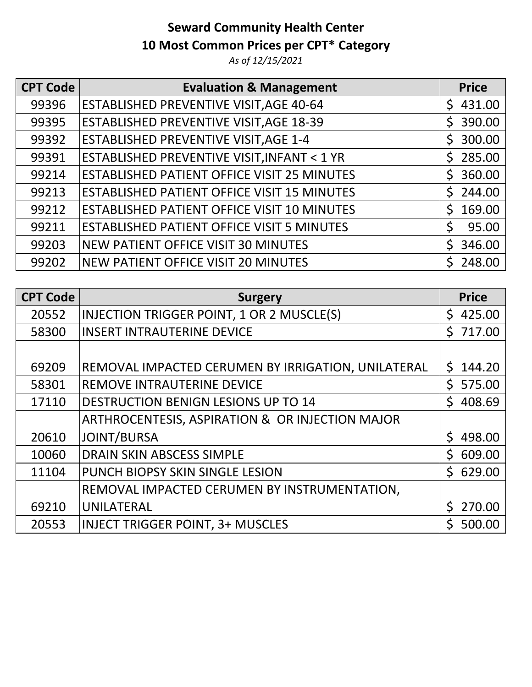## **Seward Community Health Center 10 Most Common Prices per CPT\* Category**

*As of 12/15/2021*

| <b>CPT Code</b> | <b>Evaluation &amp; Management</b>                    | <b>Price</b>           |
|-----------------|-------------------------------------------------------|------------------------|
| 99396           | <b>ESTABLISHED PREVENTIVE VISIT, AGE 40-64</b>        | 431.00<br>S.           |
| 99395           | <b>ESTABLISHED PREVENTIVE VISIT, AGE 18-39</b>        | 390.00<br>Ś.           |
| 99392           | <b>ESTABLISHED PREVENTIVE VISIT, AGE 1-4</b>          | $\mathsf{S}$<br>300.00 |
| 99391           | <b>ESTABLISHED PREVENTIVE VISIT, INFANT &lt; 1 YR</b> | 285.00<br>S.           |
| 99214           | <b>ESTABLISHED PATIENT OFFICE VISIT 25 MINUTES</b>    | 360.00<br>Ś.           |
| 99213           | <b>ESTABLISHED PATIENT OFFICE VISIT 15 MINUTES</b>    | 244.00<br>S.           |
| 99212           | <b>ESTABLISHED PATIENT OFFICE VISIT 10 MINUTES</b>    | $\mathsf{S}$<br>169.00 |
| 99211           | <b>ESTABLISHED PATIENT OFFICE VISIT 5 MINUTES</b>     | \$<br>95.00            |
| 99203           | NEW PATIENT OFFICE VISIT 30 MINUTES                   | 346.00<br>$\mathsf{S}$ |
| 99202           | NEW PATIENT OFFICE VISIT 20 MINUTES                   | 248.00                 |

| <b>CPT Code</b> | <b>Surgery</b>                                     | <b>Price</b> |
|-----------------|----------------------------------------------------|--------------|
| 20552           | INJECTION TRIGGER POINT, 1 OR 2 MUSCLE(S)          | \$425.00     |
| 58300           | <b>INSERT INTRAUTERINE DEVICE</b>                  | \$717.00     |
|                 |                                                    |              |
| 69209           | REMOVAL IMPACTED CERUMEN BY IRRIGATION, UNILATERAL | S.<br>144.20 |
| 58301           | <b>REMOVE INTRAUTERINE DEVICE</b>                  | \$575.00     |
| 17110           | <b>DESTRUCTION BENIGN LESIONS UP TO 14</b>         | Ś.<br>408.69 |
|                 | ARTHROCENTESIS, ASPIRATION & OR INJECTION MAJOR    |              |
| 20610           | JOINT/BURSA                                        | \$498.00     |
| 10060           | <b>DRAIN SKIN ABSCESS SIMPLE</b>                   | Ś.<br>609.00 |
| 11104           | <b>PUNCH BIOPSY SKIN SINGLE LESION</b>             | \$629.00     |
|                 | REMOVAL IMPACTED CERUMEN BY INSTRUMENTATION,       |              |
| 69210           | UNILATERAL                                         | \$270.00     |
| 20553           | <b>INJECT TRIGGER POINT, 3+ MUSCLES</b>            | Ś.<br>500.00 |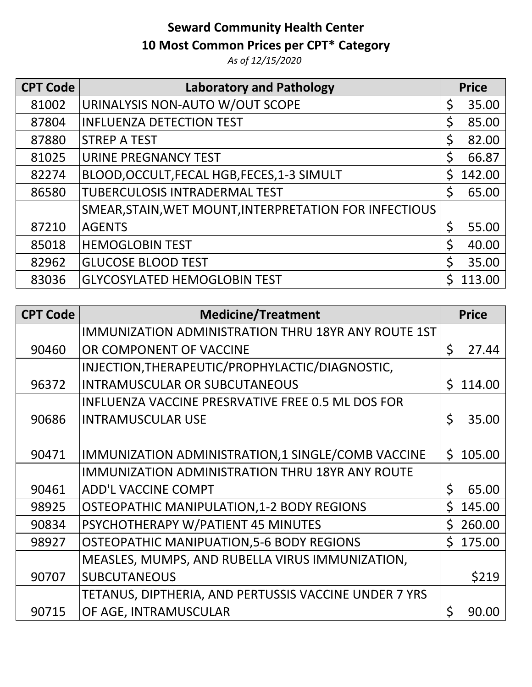# **Seward Community Health Center**

### **10 Most Common Prices per CPT\* Category**

*As of 12/15/2020*

| <b>CPT Code</b> | <b>Laboratory and Pathology</b>                        | <b>Price</b>          |        |
|-----------------|--------------------------------------------------------|-----------------------|--------|
| 81002           | URINALYSIS NON-AUTO W/OUT SCOPE                        | \$                    | 35.00  |
| 87804           | <b>INFLUENZA DETECTION TEST</b>                        | \$                    | 85.00  |
| 87880           | <b>STREP A TEST</b>                                    | \$                    | 82.00  |
| 81025           | <b>URINE PREGNANCY TEST</b>                            | \$                    | 66.87  |
| 82274           | BLOOD, OCCULT, FECAL HGB, FECES, 1-3 SIMULT            | Ś.                    | 142.00 |
| 86580           | <b>TUBERCULOSIS INTRADERMAL TEST</b>                   | $\mathsf{\mathsf{S}}$ | 65.00  |
|                 | SMEAR, STAIN, WET MOUNT, INTERPRETATION FOR INFECTIOUS |                       |        |
| 87210           | <b>AGENTS</b>                                          | $\zeta$               | 55.00  |
| 85018           | <b>HEMOGLOBIN TEST</b>                                 | Ś.                    | 40.00  |
| 82962           | <b>GLUCOSE BLOOD TEST</b>                              | $\mathsf{\dot{S}}$    | 35.00  |
| 83036           | <b>GLYCOSYLATED HEMOGLOBIN TEST</b>                    |                       | 113.00 |

| <b>CPT Code</b> | <b>Medicine/Treatment</b>                                  | <b>Price</b> |        |
|-----------------|------------------------------------------------------------|--------------|--------|
|                 | <b>IMMUNIZATION ADMINISTRATION THRU 18YR ANY ROUTE 1ST</b> |              |        |
| 90460           | OR COMPONENT OF VACCINE                                    | \$           | 27.44  |
|                 | INJECTION, THERAPEUTIC/PROPHYLACTIC/DIAGNOSTIC,            |              |        |
| 96372           | <b>INTRAMUSCULAR OR SUBCUTANEOUS</b>                       | Ś.           | 114.00 |
|                 | INFLUENZA VACCINE PRESRVATIVE FREE 0.5 ML DOS FOR          |              |        |
| 90686           | <b>INTRAMUSCULAR USE</b>                                   | \$           | 35.00  |
|                 |                                                            |              |        |
| 90471           | IMMUNIZATION ADMINISTRATION,1 SINGLE/COMB VACCINE          | Ś.           | 105.00 |
|                 | <b>IMMUNIZATION ADMINISTRATION THRU 18YR ANY ROUTE</b>     |              |        |
| 90461           | <b>ADD'L VACCINE COMPT</b>                                 | \$           | 65.00  |
| 98925           | <b>OSTEOPATHIC MANIPULATION, 1-2 BODY REGIONS</b>          | $\mathsf{S}$ | 145.00 |
| 90834           | PSYCHOTHERAPY W/PATIENT 45 MINUTES                         | Ś.           | 260.00 |
| 98927           | <b>OSTEOPATHIC MANIPUATION, 5-6 BODY REGIONS</b>           | $\mathsf{S}$ | 175.00 |
|                 | MEASLES, MUMPS, AND RUBELLA VIRUS IMMUNIZATION,            |              |        |
| 90707           | <b>SUBCUTANEOUS</b>                                        |              | \$219  |
|                 | TETANUS, DIPTHERIA, AND PERTUSSIS VACCINE UNDER 7 YRS      |              |        |
| 90715           | OF AGE, INTRAMUSCULAR                                      | \$           | 90.00  |